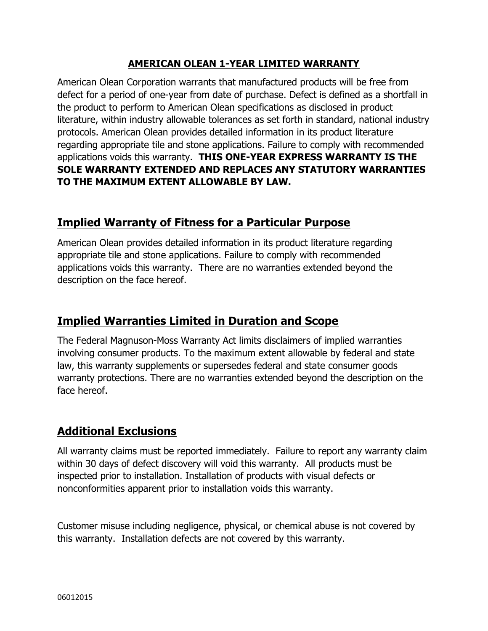#### **AMERICAN OLEAN 1-YEAR LIMITED WARRANTY**

American Olean Corporation warrants that manufactured products will be free from defect for a period of one-year from date of purchase. Defect is defined as a shortfall in the product to perform to American Olean specifications as disclosed in product literature, within industry allowable tolerances as set forth in standard, national industry protocols. American Olean provides detailed information in its product literature regarding appropriate tile and stone applications. Failure to comply with recommended applications voids this warranty. **THIS ONE-YEAR EXPRESS WARRANTY IS THE SOLE WARRANTY EXTENDED AND REPLACES ANY STATUTORY WARRANTIES TO THE MAXIMUM EXTENT ALLOWABLE BY LAW.**

#### **Implied Warranty of Fitness for a Particular Purpose**

American Olean provides detailed information in its product literature regarding appropriate tile and stone applications. Failure to comply with recommended applications voids this warranty. There are no warranties extended beyond the description on the face hereof.

## **Implied Warranties Limited in Duration and Scope**

The Federal Magnuson-Moss Warranty Act limits disclaimers of implied warranties involving consumer products. To the maximum extent allowable by federal and state law, this warranty supplements or supersedes federal and state consumer goods warranty protections. There are no warranties extended beyond the description on the face hereof.

# **Additional Exclusions**

All warranty claims must be reported immediately. Failure to report any warranty claim within 30 days of defect discovery will void this warranty. All products must be inspected prior to installation. Installation of products with visual defects or nonconformities apparent prior to installation voids this warranty.

Customer misuse including negligence, physical, or chemical abuse is not covered by this warranty. Installation defects are not covered by this warranty.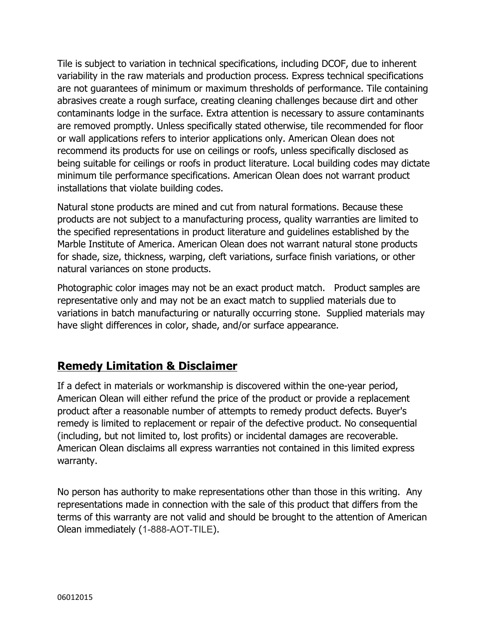Tile is subject to variation in technical specifications, including DCOF, due to inherent variability in the raw materials and production process. Express technical specifications are not guarantees of minimum or maximum thresholds of performance. Tile containing abrasives create a rough surface, creating cleaning challenges because dirt and other contaminants lodge in the surface. Extra attention is necessary to assure contaminants are removed promptly. Unless specifically stated otherwise, tile recommended for floor or wall applications refers to interior applications only. American Olean does not recommend its products for use on ceilings or roofs, unless specifically disclosed as being suitable for ceilings or roofs in product literature. Local building codes may dictate minimum tile performance specifications. American Olean does not warrant product installations that violate building codes.

Natural stone products are mined and cut from natural formations. Because these products are not subject to a manufacturing process, quality warranties are limited to the specified representations in product literature and guidelines established by the Marble Institute of America. American Olean does not warrant natural stone products for shade, size, thickness, warping, cleft variations, surface finish variations, or other natural variances on stone products.

Photographic color images may not be an exact product match. Product samples are representative only and may not be an exact match to supplied materials due to variations in batch manufacturing or naturally occurring stone. Supplied materials may have slight differences in color, shade, and/or surface appearance.

### **Remedy Limitation & Disclaimer**

If a defect in materials or workmanship is discovered within the one-year period, American Olean will either refund the price of the product or provide a replacement product after a reasonable number of attempts to remedy product defects. Buyer's remedy is limited to replacement or repair of the defective product. No consequential (including, but not limited to, lost profits) or incidental damages are recoverable. American Olean disclaims all express warranties not contained in this limited express warranty.

No person has authority to make representations other than those in this writing. Any representations made in connection with the sale of this product that differs from the terms of this warranty are not valid and should be brought to the attention of American Olean immediately (1-888-AOT-TILE).